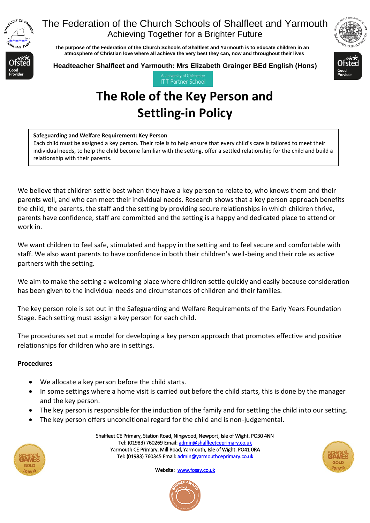

 **The purpose of the Federation of the Church Schools of Shalfleet and Yarmouth is to educate children in an atmosphere of Christian love where all achieve the very best they can, now and throughout their lives** 



**Headteacher Shalfleet and Yarmouth: Mrs Elizabeth Grainger BEd English (Hons)**



**ITT Partner School** 

# **The Role of the Key Person and Settling-in Policy**

#### **Safeguarding and Welfare Requirement: Key Person**

Each child must be assigned a key person. Their role is to help ensure that every child's care is tailored to meet their individual needs, to help the child become familiar with the setting, offer a settled relationship for the child and build a relationship with their parents.

We believe that children settle best when they have a key person to relate to, who knows them and their parents well, and who can meet their individual needs. Research shows that a key person approach benefits the child, the parents, the staff and the setting by providing secure relationships in which children thrive, parents have confidence, staff are committed and the setting is a happy and dedicated place to attend or work in.

We want children to feel safe, stimulated and happy in the setting and to feel secure and comfortable with staff. We also want parents to have confidence in both their children's well-being and their role as active partners with the setting.

We aim to make the setting a welcoming place where children settle quickly and easily because consideration has been given to the individual needs and circumstances of children and their families.

The key person role is set out in the Safeguarding and Welfare Requirements of the Early Years Foundation Stage. Each setting must assign a key person for each child.

The procedures set out a model for developing a key person approach that promotes effective and positive relationships for children who are in settings.

### **Procedures**

- We allocate a key person before the child starts.
- In some settings where a home visit is carried out before the child starts, this is done by the manager and the key person.
- The key person is responsible for the induction of the family and for settling the child into our setting.
- The key person offers unconditional regard for the child and is non-judgemental.



Shalfleet CE Primary, Station Road, Ningwood, Newport, Isle of Wight. PO30 4NN Tel: (01983) 760269 Email[: admin@shalfleetceprimary.co.uk](mailto:admin@shalfleetceprimary.co.uk)  Yarmouth CE Primary, Mill Road, Yarmouth, Isle of Wight. PO41 0RA Tel: (01983) 760345 Email: admin@yarmouthceprimary.co.uk



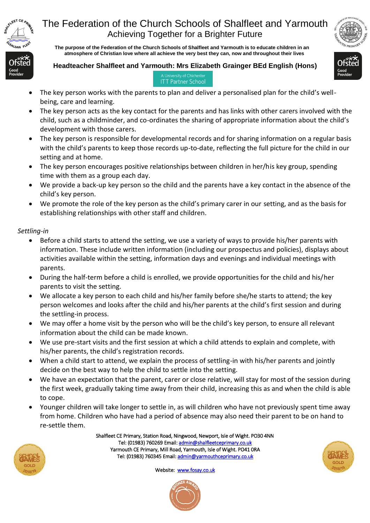

 **The purpose of the Federation of the Church Schools of Shalfleet and Yarmouth is to educate children in an atmosphere of Christian love where all achieve the very best they can, now and throughout their lives** 

#### **Headteacher Shalfleet and Yarmouth: Mrs Elizabeth Grainger BEd English (Hons)**



#### A University of Chicheste **ITT Partner School**

- The key person works with the parents to plan and deliver a personalised plan for the child's wellbeing, care and learning.
- The key person acts as the key contact for the parents and has links with other carers involved with the child, such as a childminder, and co-ordinates the sharing of appropriate information about the child's development with those carers.
- The key person is responsible for developmental records and for sharing information on a regular basis with the child's parents to keep those records up-to-date, reflecting the full picture for the child in our setting and at home.
- The key person encourages positive relationships between children in her/his key group, spending time with them as a group each day.
- We provide a back-up key person so the child and the parents have a key contact in the absence of the child's key person.
- We promote the role of the key person as the child's primary carer in our setting, and as the basis for establishing relationships with other staff and children.

#### *Settling-in*

- Before a child starts to attend the setting, we use a variety of ways to provide his/her parents with information. These include written information (including our prospectus and policies), displays about activities available within the setting, information days and evenings and individual meetings with parents.
- During the half-term before a child is enrolled, we provide opportunities for the child and his/her parents to visit the setting.
- We allocate a key person to each child and his/her family before she/he starts to attend; the key person welcomes and looks after the child and his/her parents at the child's first session and during the settling-in process.
- We may offer a home visit by the person who will be the child's key person, to ensure all relevant information about the child can be made known.
- We use pre-start visits and the first session at which a child attends to explain and complete, with his/her parents, the child's registration records.
- When a child start to attend, we explain the process of settling-in with his/her parents and jointly decide on the best way to help the child to settle into the setting.
- We have an expectation that the parent, carer or close relative, will stay for most of the session during the first week, gradually taking time away from their child, increasing this as and when the child is able to cope.
- Younger children will take longer to settle in, as will children who have not previously spent time away from home. Children who have had a period of absence may also need their parent to be on hand to re-settle them.

Shalfleet CE Primary, Station Road, Ningwood, Newport, Isle of Wight. PO30 4NN Tel: (01983) 760269 Email[: admin@shalfleetceprimary.co.uk](mailto:admin@shalfleetceprimary.co.uk)  Yarmouth CE Primary, Mill Road, Yarmouth, Isle of Wight. PO41 0RA Tel: (01983) 760345 Email: admin@yarmouthceprimary.co.uk



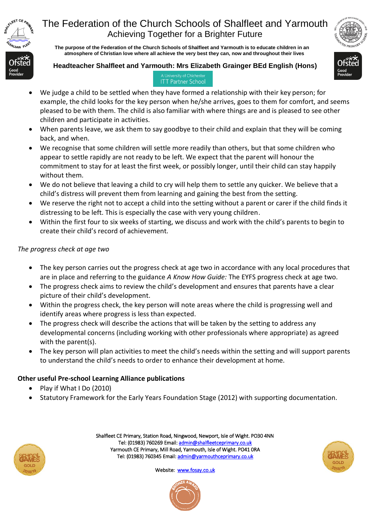

 **The purpose of the Federation of the Church Schools of Shalfleet and Yarmouth is to educate children in an atmosphere of Christian love where all achieve the very best they can, now and throughout their lives** 

### **Headteacher Shalfleet and Yarmouth: Mrs Elizabeth Grainger BEd English (Hons)**



#### A University of Chicheste **ITT Partner School**

- We judge a child to be settled when they have formed a relationship with their key person; for example, the child looks for the key person when he/she arrives, goes to them for comfort, and seems pleased to be with them. The child is also familiar with where things are and is pleased to see other children and participate in activities.
- When parents leave, we ask them to say goodbye to their child and explain that they will be coming back, and when.
- We recognise that some children will settle more readily than others, but that some children who appear to settle rapidly are not ready to be left. We expect that the parent will honour the commitment to stay for at least the first week, or possibly longer, until their child can stay happily without them.
- We do not believe that leaving a child to cry will help them to settle any quicker. We believe that a child's distress will prevent them from learning and gaining the best from the setting.
- We reserve the right not to accept a child into the setting without a parent or carer if the child finds it distressing to be left. This is especially the case with very young children.
- Within the first four to six weeks of starting, we discuss and work with the child's parents to begin to create their child's record of achievement.

### *The progress check at age two*

- The key person carries out the progress check at age two in accordance with any local procedures that are in place and referring to the guidance *A Know How Guide:* The EYFS progress check at age two.
- The progress check aims to review the child's development and ensures that parents have a clear picture of their child's development.
- Within the progress check, the key person will note areas where the child is progressing well and identify areas where progress is less than expected.
- The progress check will describe the actions that will be taken by the setting to address any developmental concerns (including working with other professionals where appropriate) as agreed with the parent(s).
- The key person will plan activities to meet the child's needs within the setting and will support parents to understand the child's needs to order to enhance their development at home.

### **Other useful Pre-school Learning Alliance publications**

- Play if What I Do (2010)
- Statutory Framework for the Early Years Foundation Stage (2012) with supporting documentation.



Shalfleet CE Primary, Station Road, Ningwood, Newport, Isle of Wight. PO30 4NN Tel: (01983) 760269 Email[: admin@shalfleetceprimary.co.uk](mailto:admin@shalfleetceprimary.co.uk)  Yarmouth CE Primary, Mill Road, Yarmouth, Isle of Wight. PO41 0RA Tel: (01983) 760345 Email: admin@yarmouthceprimary.co.uk